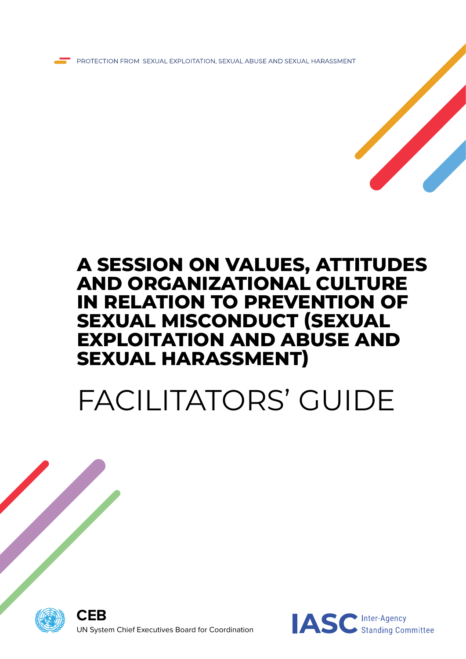

### **A SESSION ON VALUES, ATTITUDES AND ORGANIZATIONAL CULTURE IN RELATION TO PREVENTION OF SEXUAL MISCONDUCT (SEXUAL EXPLOITATION AND ABUSE AND SEXUAL HARASSMENT)**

# FACILITATORS' GUIDE



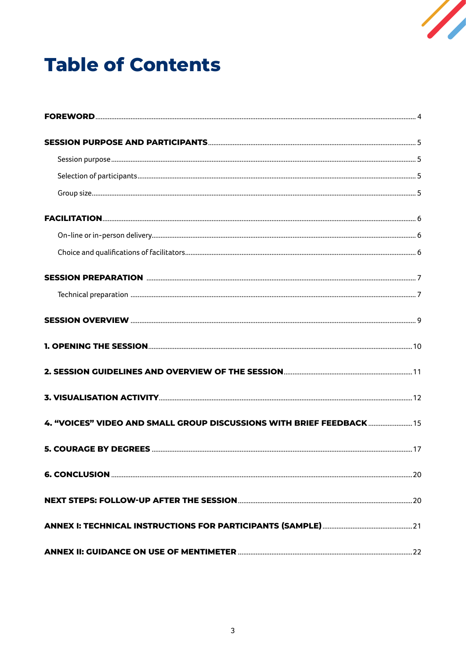

### **Table of Contents**

| 4. "VOICES" VIDEO AND SMALL GROUP DISCUSSIONS WITH BRIEF FEEDBACK 15 |  |
|----------------------------------------------------------------------|--|
|                                                                      |  |
|                                                                      |  |
|                                                                      |  |
|                                                                      |  |
|                                                                      |  |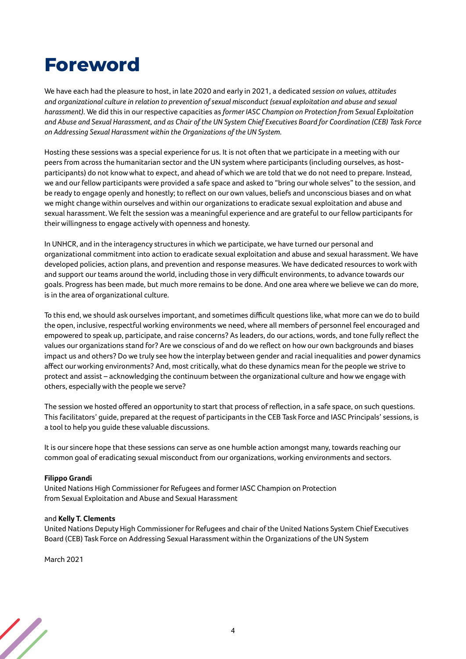### <span id="page-3-0"></span>**Foreword**

We have each had the pleasure to host, in late 2020 and early in 2021, a dedicated *session on values, attitudes and organizational culture in relation to prevention of sexual misconduct (sexual exploitation and abuse and sexual harassment).* We did this in our respective capacities as *former IASC Champion on Protection from Sexual Exploitation and Abuse and Sexual Harassment, and as Chair of the UN System Chief Executives Board for Coordination (CEB) Task Force on Addressing Sexual Harassment within the Organizations of the UN System.*

Hosting these sessions was a special experience for us. It is not often that we participate in a meeting with our peers from across the humanitarian sector and the UN system where participants (including ourselves, as hostparticipants) do not know what to expect, and ahead of which we are told that we do not need to prepare. Instead, we and our fellow participants were provided a safe space and asked to "bring our whole selves" to the session, and be ready to engage openly and honestly; to reflect on our own values, beliefs and unconscious biases and on what we might change within ourselves and within our organizations to eradicate sexual exploitation and abuse and sexual harassment. We felt the session was a meaningful experience and are grateful to our fellow participants for their willingness to engage actively with openness and honesty.

In UNHCR, and in the interagency structures in which we participate, we have turned our personal and organizational commitment into action to eradicate sexual exploitation and abuse and sexual harassment. We have developed policies, action plans, and prevention and response measures. We have dedicated resources to work with and support our teams around the world, including those in very difficult environments, to advance towards our goals. Progress has been made, but much more remains to be done. And one area where we believe we can do more, is in the area of organizational culture.

To this end, we should ask ourselves important, and sometimes difficult questions like, what more can we do to build the open, inclusive, respectful working environments we need, where all members of personnel feel encouraged and empowered to speak up, participate, and raise concerns? As leaders, do our actions, words, and tone fully reflect the values our organizations stand for? Are we conscious of and do we reflect on how our own backgrounds and biases impact us and others? Do we truly see how the interplay between gender and racial inequalities and power dynamics affect our working environments? And, most critically, what do these dynamics mean for the people we strive to protect and assist – acknowledging the continuum between the organizational culture and how we engage with others, especially with the people we serve?

The session we hosted offered an opportunity to start that process of reflection, in a safe space, on such questions. This facilitators' guide, prepared at the request of participants in the CEB Task Force and IASC Principals' sessions, is a tool to help you guide these valuable discussions.

It is our sincere hope that these sessions can serve as one humble action amongst many, towards reaching our common goal of eradicating sexual misconduct from our organizations, working environments and sectors.

#### **Filippo Grandi**

United Nations High Commissioner for Refugees and former IASC Champion on Protection from Sexual Exploitation and Abuse and Sexual Harassment

#### and **Kelly T. Clements**

United Nations Deputy High Commissioner for Refugees and chair of the United Nations System Chief Executives Board (CEB) Task Force on Addressing Sexual Harassment within the Organizations of the UN System

March 2021

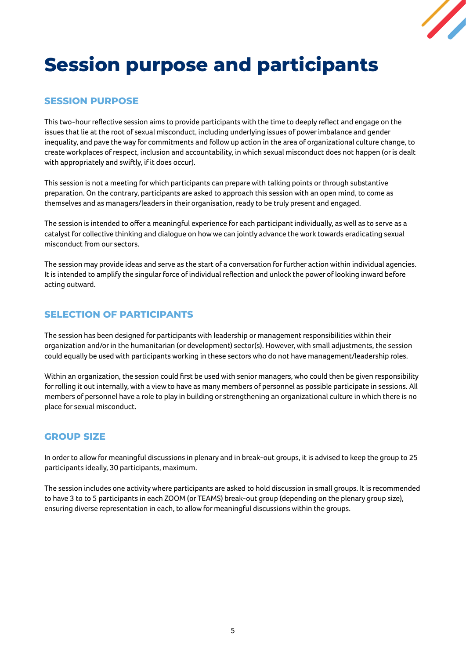

# <span id="page-4-0"></span>**Session purpose and participants**

#### **SESSION PURPOSE**

This two-hour reflective session aims to provide participants with the time to deeply reflect and engage on the issues that lie at the root of sexual misconduct, including underlying issues of power imbalance and gender inequality, and pave the way for commitments and follow up action in the area of organizational culture change, to create workplaces of respect, inclusion and accountability, in which sexual misconduct does not happen (or is dealt with appropriately and swiftly, if it does occur).

This session is not a meeting for which participants can prepare with talking points or through substantive preparation. On the contrary, participants are asked to approach this session with an open mind, to come as themselves and as managers/leaders in their organisation, ready to be truly present and engaged.

The session is intended to offer a meaningful experience for each participant individually, as well as to serve as a catalyst for collective thinking and dialogue on how we can jointly advance the work towards eradicating sexual misconduct from our sectors.

The session may provide ideas and serve as the start of a conversation for further action within individual agencies. It is intended to amplify the singular force of individual reflection and unlock the power of looking inward before acting outward.

#### **SELECTION OF PARTICIPANTS**

The session has been designed for participants with leadership or management responsibilities within their organization and/or in the humanitarian (or development) sector(s). However, with small adjustments, the session could equally be used with participants working in these sectors who do not have management/leadership roles.

Within an organization, the session could first be used with senior managers, who could then be given responsibility for rolling it out internally, with a view to have as many members of personnel as possible participate in sessions. All members of personnel have a role to play in building or strengthening an organizational culture in which there is no place for sexual misconduct.

#### **GROUP SIZE**

In order to allow for meaningful discussions in plenary and in break-out groups, it is advised to keep the group to 25 participants ideally, 30 participants, maximum.

The session includes one activity where participants are asked to hold discussion in small groups. It is recommended to have 3 to to 5 participants in each ZOOM (or TEAMS) break-out group (depending on the plenary group size), ensuring diverse representation in each, to allow for meaningful discussions within the groups.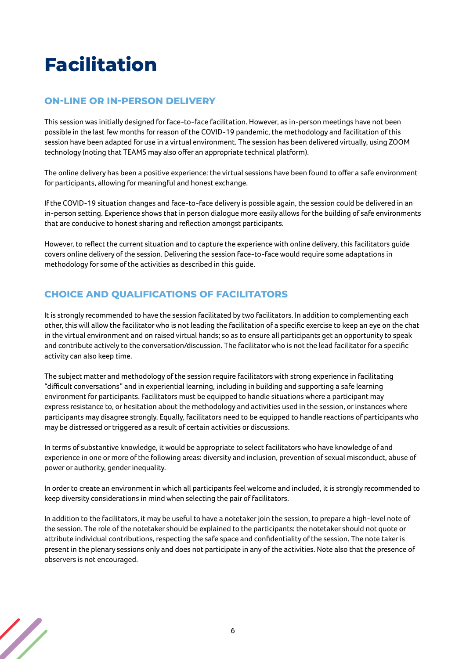# <span id="page-5-0"></span>**Facilitation**

#### **ON-LINE OR IN-PERSON DELIVERY**

This session was initially designed for face-to-face facilitation. However, as in-person meetings have not been possible in the last few months for reason of the COVID-19 pandemic, the methodology and facilitation of this session have been adapted for use in a virtual environment. The session has been delivered virtually, using ZOOM technology (noting that TEAMS may also offer an appropriate technical platform).

The online delivery has been a positive experience: the virtual sessions have been found to offer a safe environment for participants, allowing for meaningful and honest exchange.

If the COVID-19 situation changes and face-to-face delivery is possible again, the session could be delivered in an in-person setting. Experience shows that in person dialogue more easily allows for the building of safe environments that are conducive to honest sharing and reflection amongst participants.

However, to reflect the current situation and to capture the experience with online delivery, this facilitators guide covers online delivery of the session. Delivering the session face-to-face would require some adaptations in methodology for some of the activities as described in this guide.

#### **CHOICE AND QUALIFICATIONS OF FACILITATORS**

It is strongly recommended to have the session facilitated by two facilitators. In addition to complementing each other, this will allow the facilitator who is not leading the facilitation of a specific exercise to keep an eye on the chat in the virtual environment and on raised virtual hands; so as to ensure all participants get an opportunity to speak and contribute actively to the conversation/discussion. The facilitator who is not the lead facilitator for a specific activity can also keep time.

The subject matter and methodology of the session require facilitators with strong experience in facilitating "difficult conversations" and in experiential learning, including in building and supporting a safe learning environment for participants. Facilitators must be equipped to handle situations where a participant may express resistance to, or hesitation about the methodology and activities used in the session, or instances where participants may disagree strongly. Equally, facilitators need to be equipped to handle reactions of participants who may be distressed or triggered as a result of certain activities or discussions.

In terms of substantive knowledge, it would be appropriate to select facilitators who have knowledge of and experience in one or more of the following areas: diversity and inclusion, prevention of sexual misconduct, abuse of power or authority, gender inequality.

In order to create an environment in which all participants feel welcome and included, it is strongly recommended to keep diversity considerations in mind when selecting the pair of facilitators.

In addition to the facilitators, it may be useful to have a notetaker join the session, to prepare a high-level note of the session. The role of the notetaker should be explained to the participants: the notetaker should not quote or attribute individual contributions, respecting the safe space and confidentiality of the session. The note taker is present in the plenary sessions only and does not participate in any of the activities. Note also that the presence of observers is not encouraged.

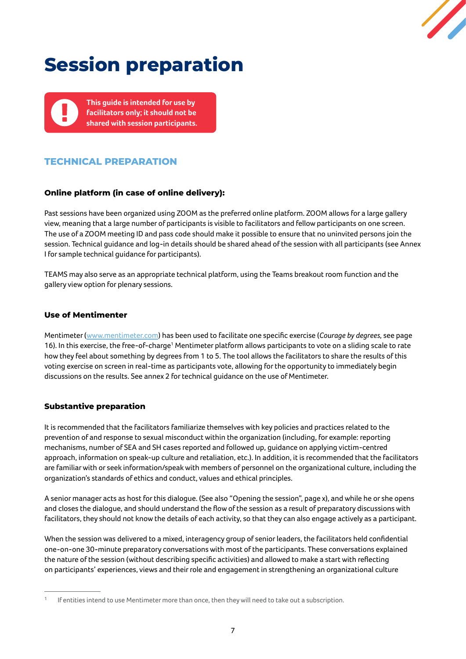

# <span id="page-6-0"></span>**Session preparation**

**This guide is intended for use by facilitators only; it should not be shared with session participants.**

#### **TECHNICAL PREPARATION**

#### **Online platform (in case of online delivery):**

Past sessions have been organized using ZOOM as the preferred online platform. ZOOM allows for a large gallery view, meaning that a large number of participants is visible to facilitators and fellow participants on one screen. The use of a ZOOM meeting ID and pass code should make it possible to ensure that no uninvited persons join the session. Technical guidance and log-in details should be shared ahead of the session with all participants (see Annex I for sample technical guidance for participants).

TEAMS may also serve as an appropriate technical platform, using the Teams breakout room function and the gallery view option for plenary sessions.

#### **Use of Mentimenter**

Mentimeter ([www.mentimeter.com](http://www.mentimeter.com/)) has been used to facilitate one specific exercise (*Courage by degrees,* see page 16). In this exercise, the free-of-charge<sup>1</sup> Mentimeter platform allows participants to vote on a sliding scale to rate how they feel about something by degrees from 1 to 5. The tool allows the facilitators to share the results of this voting exercise on screen in real-time as participants vote, allowing for the opportunity to immediately begin discussions on the results. See annex 2 for technical guidance on the use of Mentimeter.

#### **Substantive preparation**

It is recommended that the facilitators familiarize themselves with key policies and practices related to the prevention of and response to sexual misconduct within the organization (including, for example: reporting mechanisms, number of SEA and SH cases reported and followed up, guidance on applying victim-centred approach, information on speak-up culture and retaliation, etc.). In addition, it is recommended that the facilitators are familiar with or seek information/speak with members of personnel on the organizational culture, including the organization's standards of ethics and conduct, values and ethical principles.

A senior manager acts as host for this dialogue. (See also "Opening the session", page x), and while he or she opens and closes the dialogue, and should understand the flow of the session as a result of preparatory discussions with facilitators, they should not know the details of each activity, so that they can also engage actively as a participant.

When the session was delivered to a mixed, interagency group of senior leaders, the facilitators held confidential one-on-one 30-minute preparatory conversations with most of the participants. These conversations explained the nature of the session (without describing specific activities) and allowed to make a start with reflecting on participants' experiences, views and their role and engagement in strengthening an organizational culture

<sup>&</sup>lt;sup>1</sup> If entities intend to use Mentimeter more than once, then they will need to take out a subscription.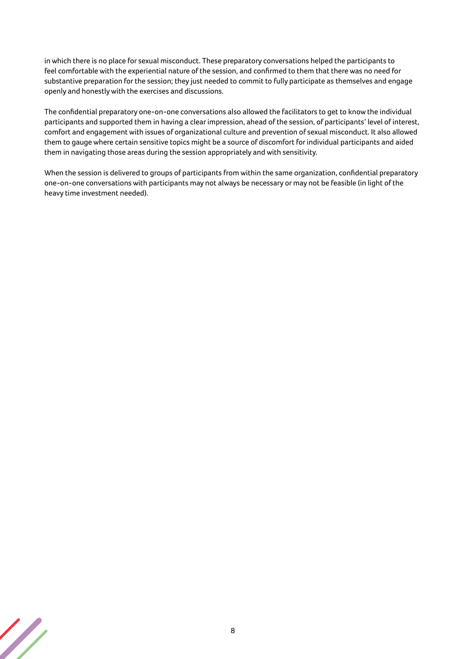in which there is no place for sexual misconduct. These preparatory conversations helped the participants to feel comfortable with the experiential nature of the session, and confirmed to them that there was no need for substantive preparation for the session; they just needed to commit to fully participate as themselves and engage openly and honestly with the exercises and discussions.

The confidential preparatory one-on-one conversations also allowed the facilitators to get to know the individual participants and supported them in having a clear impression, ahead of the session, of participants' level of interest, comfort and engagement with issues of organizational culture and prevention of sexual misconduct. It also allowed them to gauge where certain sensitive topics might be a source of discomfort for individual participants and aided them in navigating those areas during the session appropriately and with sensitivity.

When the session is delivered to groups of participants from within the same organization, confidential preparatory one-on-one conversations with participants may not always be necessary or may not be feasible (in light of the heavy time investment needed).

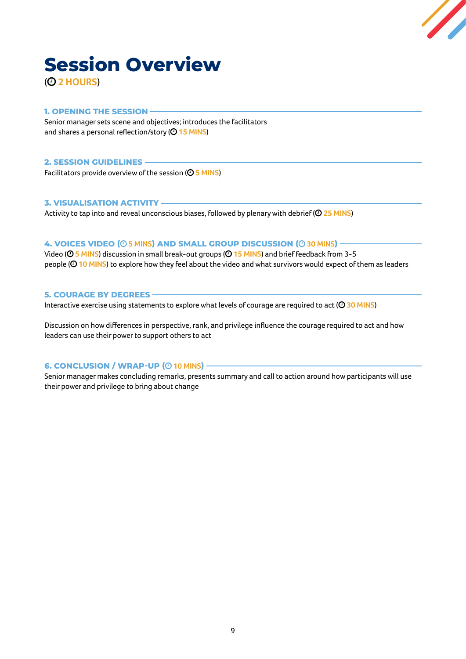

# <span id="page-8-0"></span>**Session Overview**

#### ( **2 HOURS**)

#### **1. OPENING THE SESSION**

Senior manager sets scene and objectives; introduces the facilitators and shares a personal reflection/story (<sup>2</sup> 15 MINS)

#### **2. SESSION GUIDELINES**

Facilitators provide overview of the session (<sup> $\odot$ </sup> 5 MINS)

#### **3. VISUALISATION ACTIVITY**

Activity to tap into and reveal unconscious biases, followed by plenary with debrief (<sup>25 MINS</sup>)

#### **4. VOICES VIDEO ( 5 MINS) AND SMALL GROUP DISCUSSION ( 30 MINS)**

Video ( **5 MINS**) discussion in small break-out groups ( **15 MINS**) and brief feedback from 3-5 people (<sup> $\odot$ </sup> 10 MINS) to explore how they feel about the video and what survivors would expect of them as leaders

#### **5. COURAGE BY DEGREES**

Interactive exercise using statements to explore what levels of courage are required to act (<sup>20</sup> 30 MINS)

Discussion on how differences in perspective, rank, and privilege influence the courage required to act and how leaders can use their power to support others to act

#### **6. CONCLUSION / WRAP-UP (** $\odot$  **10 MINS) -**

Senior manager makes concluding remarks, presents summary and call to action around how participants will use their power and privilege to bring about change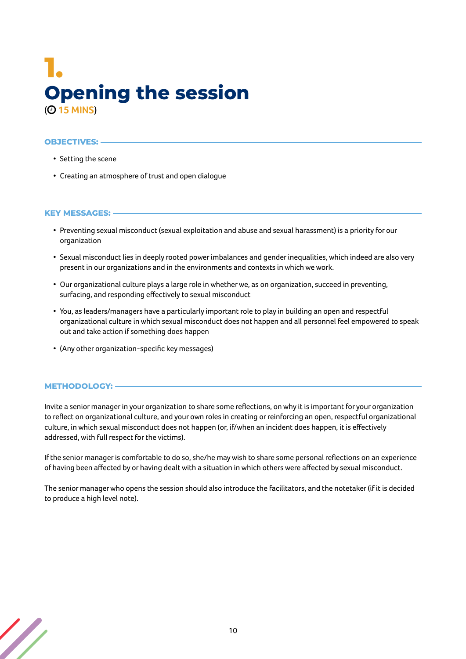### <span id="page-9-0"></span>**1. Opening the session** ( **15 MINS**)

#### **OBJECTIVES:**

- Setting the scene
- Creating an atmosphere of trust and open dialogue

#### **KEY MESSAGES:**

- Preventing sexual misconduct (sexual exploitation and abuse and sexual harassment) is a priority for our organization
- Sexual misconduct lies in deeply rooted power imbalances and gender inequalities, which indeed are also very present in our organizations and in the environments and contexts in which we work.
- Our organizational culture plays a large role in whether we, as on organization, succeed in preventing, surfacing, and responding effectively to sexual misconduct
- You, as leaders/managers have a particularly important role to play in building an open and respectful organizational culture in which sexual misconduct does not happen and all personnel feel empowered to speak out and take action if something does happen
- (Any other organization-specific key messages)

#### **METHODOLOGY:**

Invite a senior manager in your organization to share some reflections, on why it is important for your organization to reflect on organizational culture, and your own roles in creating or reinforcing an open, respectful organizational culture, in which sexual misconduct does not happen (or, if/when an incident does happen, it is effectively addressed, with full respect for the victims).

If the senior manager is comfortable to do so, she/he may wish to share some personal reflections on an experience of having been affected by or having dealt with a situation in which others were affected by sexual misconduct.

The senior manager who opens the session should also introduce the facilitators, and the notetaker (if it is decided to produce a high level note).

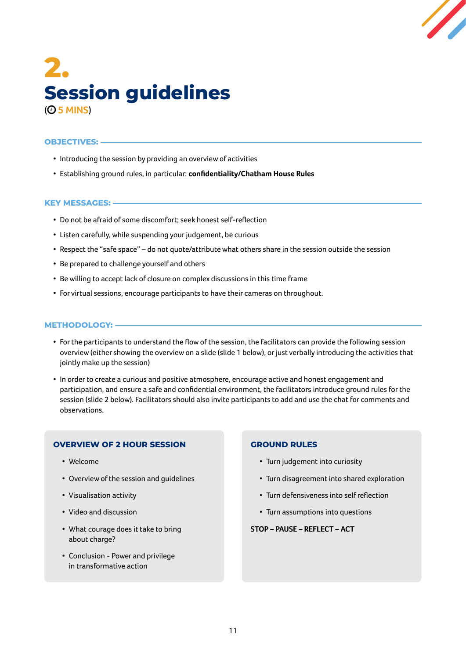![](_page_10_Figure_0.jpeg)

### <span id="page-10-0"></span>**2. Session guidelines** ( **5 MINS**)

#### **OBJECTIVES:**

- Introducing the session by providing an overview of activities
- Establishing ground rules, in particular: **confidentiality/Chatham House Rules**

#### **KEY MESSAGES:**

- Do not be afraid of some discomfort; seek honest self-reflection
- Listen carefully, while suspending your judgement, be curious
- Respect the "safe space" do not quote/attribute what others share in the session outside the session
- Be prepared to challenge yourself and others
- Be willing to accept lack of closure on complex discussions in this time frame
- For virtual sessions, encourage participants to have their cameras on throughout.

#### **METHODOLOGY:**

- For the participants to understand the flow of the session, the facilitators can provide the following session overview (either showing the overview on a slide (slide 1 below), or just verbally introducing the activities that jointly make up the session)
- In order to create a curious and positive atmosphere, encourage active and honest engagement and participation, and ensure a safe and confidential environment, the facilitators introduce ground rules for the session (slide 2 below). Facilitators should also invite participants to add and use the chat for comments and observations.

#### **OVERVIEW OF 2 HOUR SESSION**

- Welcome
- Overview of the session and guidelines
- Visualisation activity
- Video and discussion
- What courage does it take to bring about charge?
- Conclusion Power and privilege in transformative action

#### **GROUND RULES**

- Turn judgement into curiosity
- Turn disagreement into shared exploration
- Turn defensiveness into self reflection
- Turn assumptions into questions

#### **STOP – PAUSE – REFLECT – ACT**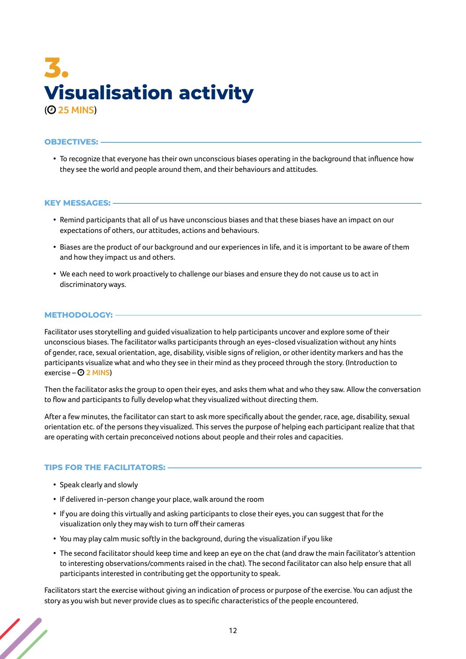### <span id="page-11-0"></span>**3. Visualisation activity** ( **25 MINS**)

#### **OBJECTIVES:**

• To recognize that everyone has their own unconscious biases operating in the background that influence how they see the world and people around them, and their behaviours and attitudes.

#### **KEY MESSAGES:**

- Remind participants that all of us have unconscious biases and that these biases have an impact on our expectations of others, our attitudes, actions and behaviours.
- Biases are the product of our background and our experiences in life, and it is important to be aware of them and how they impact us and others.
- We each need to work proactively to challenge our biases and ensure they do not cause us to act in discriminatory ways.

#### **METHODOLOGY:**

Facilitator uses storytelling and guided visualization to help participants uncover and explore some of their unconscious biases. The facilitator walks participants through an eyes-closed visualization without any hints of gender, race, sexual orientation, age, disability, visible signs of religion, or other identity markers and has the participants visualize what and who they see in their mind as they proceed through the story. (Introduction to exercise – **2 MINS**)

Then the facilitator asks the group to open their eyes, and asks them what and who they saw. Allow the conversation to flow and participants to fully develop what they visualized without directing them.

After a few minutes, the facilitator can start to ask more specifically about the gender, race, age, disability, sexual orientation etc. of the persons they visualized. This serves the purpose of helping each participant realize that that are operating with certain preconceived notions about people and their roles and capacities.

#### **TIPS FOR THE FACILITATORS:**

- Speak clearly and slowly
- If delivered in-person change your place, walk around the room
- If you are doing this virtually and asking participants to close their eyes, you can suggest that for the visualization only they may wish to turn off their cameras
- You may play calm music softly in the background, during the visualization if you like
- The second facilitator should keep time and keep an eye on the chat (and draw the main facilitator's attention to interesting observations/comments raised in the chat). The second facilitator can also help ensure that all participants interested in contributing get the opportunity to speak.

Facilitators start the exercise without giving an indication of process or purpose of the exercise. You can adjust the story as you wish but never provide clues as to specific characteristics of the people encountered.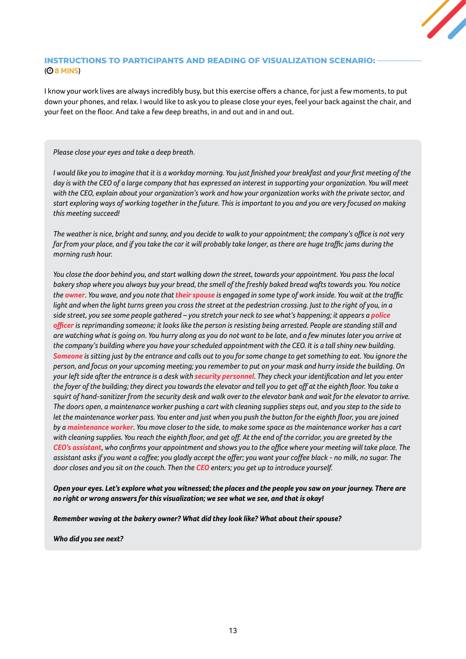#### **INSTRUCTIONS TO PARTICIPANTS AND READING OF VISUALIZATION SCENARIO:**  ( **8 MINS**)

I know your work lives are always incredibly busy, but this exercise offers a chance, for just a few moments, to put down your phones, and relax. I would like to ask you to please close your eyes, feel your back against the chair, and your feet on the floor. And take a few deep breaths, in and out and in and out.

#### *Please close your eyes and take a deep breath.*

*I would like you to imagine that it is a workday morning. You just finished your breakfast and your first meeting of the day is with the CEO of a large company that has expressed an interest in supporting your organization. You will meet with the CEO, explain about your organization's work and how your organization works with the private sector, and start exploring ways of working together in the future. This is important to you and you are very focused on making this meeting succeed!* 

*The weather is nice, bright and sunny, and you decide to walk to your appointment; the company's office is not very far from your place, and if you take the car it will probably take longer, as there are huge traffic jams during the morning rush hour.* 

*You close the door behind you, and start walking down the street, towards your appointment. You pass the local bakery shop where you always buy your bread, the smell of the freshly baked bread wafts towards you. You notice the owner. You wave, and you note that their spouse is engaged in some type of work inside. You wait at the traffic light and when the light turns green you cross the street at the pedestrian crossing. Just to the right of you, in a side street, you see some people gathered – you stretch your neck to see what's happening; it appears a police officer is reprimanding someone; it looks like the person is resisting being arrested. People are standing still and are watching what is going on. You hurry along as you do not want to be late, and a few minutes later you arrive at the company's building where you have your scheduled appointment with the CEO. It is a tall shiny new building. Someone is sitting just by the entrance and calls out to you for some change to get something to eat. You ignore the person, and focus on your upcoming meeting; you remember to put on your mask and hurry inside the building. On your left side after the entrance is a desk with security personnel. They check your identification and let you enter the foyer of the building; they direct you towards the elevator and tell you to get off at the eighth floor. You take a squirt of hand-sanitizer from the security desk and walk over to the elevator bank and wait for the elevator to arrive. The doors open, a maintenance worker pushing a cart with cleaning supplies steps out, and you step to the side to*  let the maintenance worker pass. You enter and just when you push the button for the eighth floor, you are joined *by a maintenance worker. You move closer to the side, to make some space as the maintenance worker has a cart with cleaning supplies. You reach the eighth floor, and get off. At the end of the corridor, you are greeted by the CEO's assistant, who confirms your appointment and shows you to the office where your meeting will take place. The assistant asks if you want a coffee; you gladly accept the offer; you want your coffee black - no milk, no sugar. The door closes and you sit on the couch. Then the CEO enters; you get up to introduce yourself.* 

*Open your eyes. Let's explore what you witnessed; the places and the people you saw on your journey. There are no right or wrong answers for this visualization; we see what we see, and that is okay!* 

*Remember waving at the bakery owner? What did they look like? What about their spouse?* 

*Who did you see next?*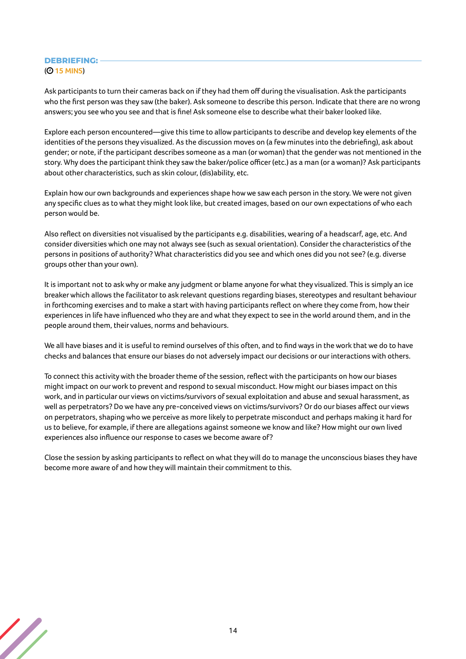#### **DEBRIEFING:**  ( **15 MINS**)

Ask participants to turn their cameras back on if they had them off during the visualisation. Ask the participants who the first person was they saw (the baker). Ask someone to describe this person. Indicate that there are no wrong answers; you see who you see and that is fine! Ask someone else to describe what their baker looked like.

Explore each person encountered—give this time to allow participants to describe and develop key elements of the identities of the persons they visualized. As the discussion moves on (a few minutes into the debriefing), ask about gender; or note, if the participant describes someone as a man (or woman) that the gender was not mentioned in the story. Why does the participant think they saw the baker/police officer (etc.) as a man (or a woman)? Ask participants about other characteristics, such as skin colour, (dis)ability, etc.

Explain how our own backgrounds and experiences shape how we saw each person in the story. We were not given any specific clues as to what they might look like, but created images, based on our own expectations of who each person would be.

Also reflect on diversities not visualised by the participants e.g. disabilities, wearing of a headscarf, age, etc. And consider diversities which one may not always see (such as sexual orientation). Consider the characteristics of the persons in positions of authority? What characteristics did you see and which ones did you not see? (e.g. diverse groups other than your own).

It is important not to ask why or make any judgment or blame anyone for what they visualized. This is simply an ice breaker which allows the facilitator to ask relevant questions regarding biases, stereotypes and resultant behaviour in forthcoming exercises and to make a start with having participants reflect on where they come from, how their experiences in life have influenced who they are and what they expect to see in the world around them, and in the people around them, their values, norms and behaviours.

We all have biases and it is useful to remind ourselves of this often, and to find ways in the work that we do to have checks and balances that ensure our biases do not adversely impact our decisions or our interactions with others.

To connect this activity with the broader theme of the session, reflect with the participants on how our biases might impact on our work to prevent and respond to sexual misconduct. How might our biases impact on this work, and in particular our views on victims/survivors of sexual exploitation and abuse and sexual harassment, as well as perpetrators? Do we have any pre-conceived views on victims/survivors? Or do our biases affect our views on perpetrators, shaping who we perceive as more likely to perpetrate misconduct and perhaps making it hard for us to believe, for example, if there are allegations against someone we know and like? How might our own lived experiences also influence our response to cases we become aware of?

Close the session by asking participants to reflect on what they will do to manage the unconscious biases they have become more aware of and how they will maintain their commitment to this.

![](_page_13_Picture_9.jpeg)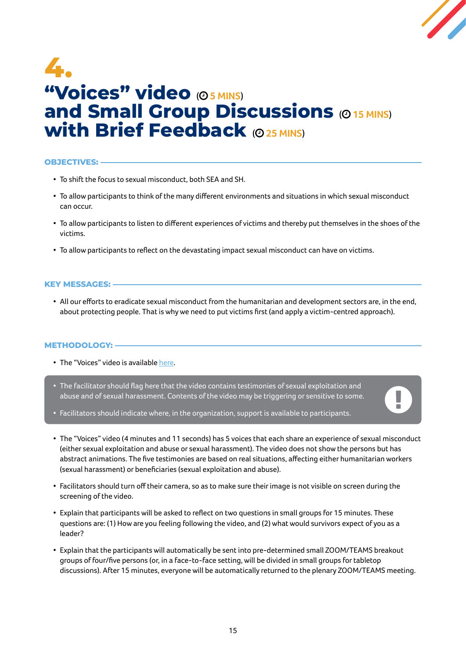![](_page_14_Picture_0.jpeg)

۱

### <span id="page-14-0"></span>**4. "Voices" video** (O 5 MINS) **and Small Group Discussions (O 15 MINS) with Brief Feedback** (O 25 MINS)

#### **OBJECTIVES:**

- To shift the focus to sexual misconduct, both SEA and SH.
- To allow participants to think of the many different environments and situations in which sexual misconduct can occur.
- To allow participants to listen to different experiences of victims and thereby put themselves in the shoes of the victims.
- To allow participants to reflect on the devastating impact sexual misconduct can have on victims.

#### **KEY MESSAGES:**

• All our efforts to eradicate sexual misconduct from the humanitarian and development sectors are, in the end, about protecting people. That is why we need to put victims first (and apply a victim-centred approach).

#### **METHODOLOGY:**

- The "Voices" video is available [here.](https://youtu.be/E9isAzlD9Rg)
- The facilitator should flag here that the video contains testimonies of sexual exploitation and abuse and of sexual harassment. Contents of the video may be triggering or sensitive to some.
- Facilitators should indicate where, in the organization, support is available to participants.
- The "Voices" video (4 minutes and 11 seconds) has 5 voices that each share an experience of sexual misconduct (either sexual exploitation and abuse or sexual harassment). The video does not show the persons but has abstract animations. The five testimonies are based on real situations, affecting either humanitarian workers (sexual harassment) or beneficiaries (sexual exploitation and abuse).
- Facilitators should turn off their camera, so as to make sure their image is not visible on screen during the screening of the video.
- Explain that participants will be asked to reflect on two questions in small groups for 15 minutes. These questions are: (1) How are you feeling following the video, and (2) what would survivors expect of you as a leader?
- Explain that the participants will automatically be sent into pre-determined small ZOOM/TEAMS breakout groups of four/five persons (or, in a face-to-face setting, will be divided in small groups for tabletop discussions). After 15 minutes, everyone will be automatically returned to the plenary ZOOM/TEAMS meeting.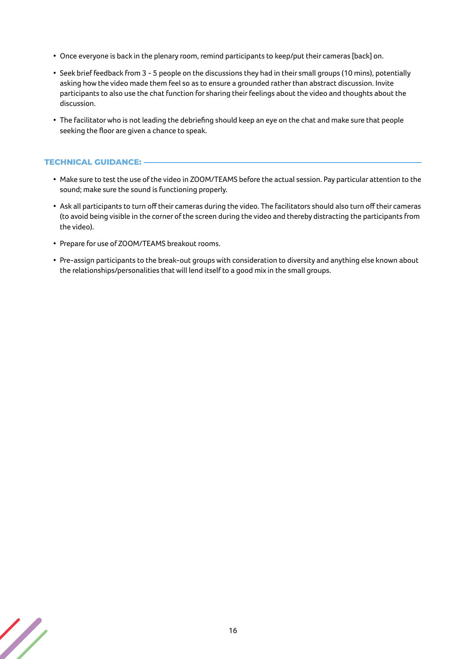- Once everyone is back in the plenary room, remind participants to keep/put their cameras [back] on.
- Seek brief feedback from 3 5 people on the discussions they had in their small groups (10 mins), potentially asking how the video made them feel so as to ensure a grounded rather than abstract discussion. Invite participants to also use the chat function for sharing their feelings about the video and thoughts about the discussion.
- The facilitator who is not leading the debriefing should keep an eye on the chat and make sure that people seeking the floor are given a chance to speak.

#### **TECHNICAL GUIDANCE:**

- Make sure to test the use of the video in ZOOM/TEAMS before the actual session. Pay particular attention to the sound; make sure the sound is functioning properly.
- Ask all participants to turn off their cameras during the video. The facilitators should also turn off their cameras (to avoid being visible in the corner of the screen during the video and thereby distracting the participants from the video).
- Prepare for use of ZOOM/TEAMS breakout rooms.
- Pre-assign participants to the break-out groups with consideration to diversity and anything else known about the relationships/personalities that will lend itself to a good mix in the small groups.

![](_page_15_Picture_8.jpeg)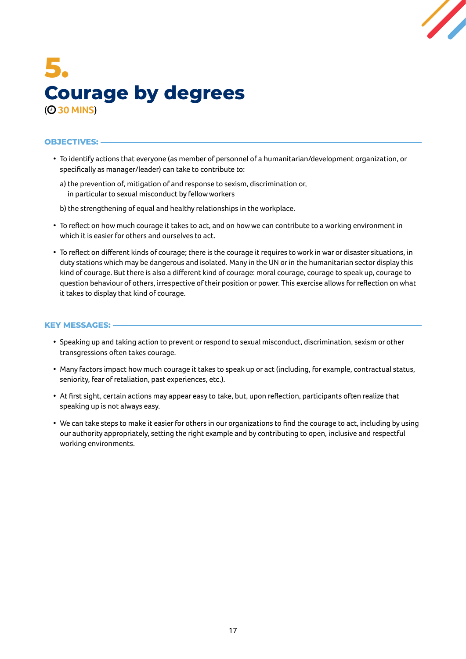![](_page_16_Picture_0.jpeg)

### <span id="page-16-0"></span>**5. Courage by degrees** ( **30 MINS**)

#### **OBJECTIVES:**

- To identify actions that everyone (as member of personnel of a humanitarian/development organization, or specifically as manager/leader) can take to contribute to:
	- a) the prevention of, mitigation of and response to sexism, discrimination or, in particular to sexual misconduct by fellow workers
	- b) the strengthening of equal and healthy relationships in the workplace.
- To reflect on how much courage it takes to act, and on how we can contribute to a working environment in which it is easier for others and ourselves to act.
- To reflect on different kinds of courage; there is the courage it requires to work in war or disaster situations, in duty stations which may be dangerous and isolated. Many in the UN or in the humanitarian sector display this kind of courage. But there is also a different kind of courage: moral courage, courage to speak up, courage to question behaviour of others, irrespective of their position or power. This exercise allows for reflection on what it takes to display that kind of courage.

#### **KEY MESSAGES:**

- Speaking up and taking action to prevent or respond to sexual misconduct, discrimination, sexism or other transgressions often takes courage.
- Many factors impact how much courage it takes to speak up or act (including, for example, contractual status, seniority, fear of retaliation, past experiences, etc.).
- At first sight, certain actions may appear easy to take, but, upon reflection, participants often realize that speaking up is not always easy.
- We can take steps to make it easier for others in our organizations to find the courage to act, including by using our authority appropriately, setting the right example and by contributing to open, inclusive and respectful working environments.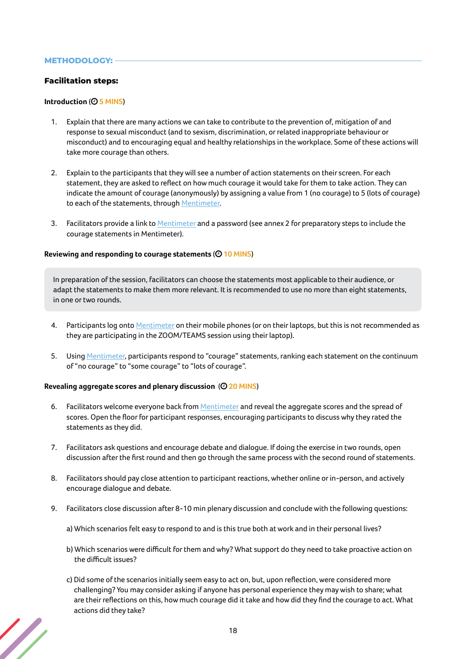#### **METHODOLOGY:**

#### **Facilitation steps:**

#### **Introduction** ( **5 MINS**)

- 1. Explain that there are many actions we can take to contribute to the prevention of, mitigation of and response to sexual misconduct (and to sexism, discrimination, or related inappropriate behaviour or misconduct) and to encouraging equal and healthy relationships in the workplace. Some of these actions will take more courage than others.
- 2. Explain to the participants that they will see a number of action statements on their screen. For each statement, they are asked to reflect on how much courage it would take for them to take action. They can indicate the amount of courage (anonymously) by assigning a value from 1 (no courage) to 5 (lots of courage) to each of the statements, through Mentimeter.
- 3. Facilitators provide a link to Mentimeter and a password (see annex 2 for preparatory steps to include the courage statements in Mentimeter).

#### **Reviewing and responding to courage statements** ( **10 MINS**)

In preparation of the session, facilitators can choose the statements most applicable to their audience, or adapt the statements to make them more relevant. It is recommended to use no more than eight statements, in one or two rounds.

- 4. Participants log onto Mentimeter on their mobile phones (or on their laptops, but this is not recommended as they are participating in the ZOOM/TEAMS session using their laptop).
- 5. Using Mentimeter, participants respond to "courage" statements, ranking each statement on the continuum of "no courage" to "some courage" to "lots of courage".

#### **Revealing aggregate scores and plenary discussion** ( **20 MINS**)

- 6. Facilitators welcome everyone back from Mentimeter and reveal the aggregate scores and the spread of scores. Open the floor for participant responses, encouraging participants to discuss why they rated the statements as they did.
- 7. Facilitators ask questions and encourage debate and dialogue. If doing the exercise in two rounds, open discussion after the first round and then go through the same process with the second round of statements.
- 8. Facilitators should pay close attention to participant reactions, whether online or in-person, and actively encourage dialogue and debate.
- 9. Facilitators close discussion after 8-10 min plenary discussion and conclude with the following questions:
	- a) Which scenarios felt easy to respond to and is this true both at work and in their personal lives?
	- b) Which scenarios were difficult for them and why? What support do they need to take proactive action on the difficult issues?
	- c) Did some of the scenarios initially seem easy to act on, but, upon reflection, were considered more challenging? You may consider asking if anyone has personal experience they may wish to share; what are their reflections on this, how much courage did it take and how did they find the courage to act. What actions did they take?

![](_page_17_Picture_18.jpeg)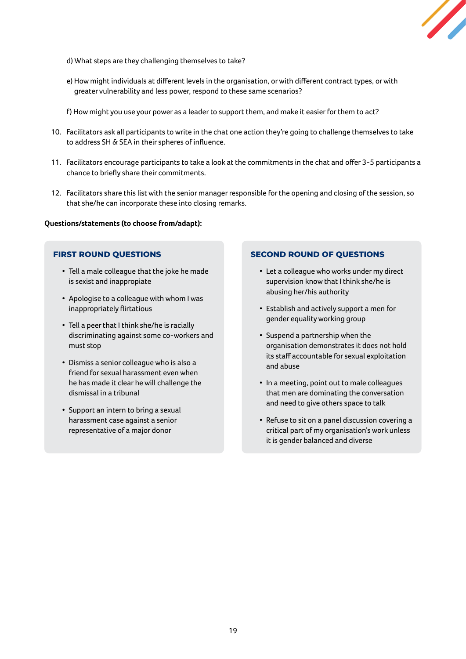![](_page_18_Picture_0.jpeg)

- d) What steps are they challenging themselves to take?
- e) How might individuals at different levels in the organisation, or with different contract types, or with greater vulnerability and less power, respond to these same scenarios?
- f) How might you use your power as a leader to support them, and make it easier for them to act?
- 10. Facilitators ask all participants to write in the chat one action they're going to challenge themselves to take to address SH & SEA in their spheres of influence.
- 11. Facilitators encourage participants to take a look at the commitments in the chat and offer 3-5 participants a chance to briefly share their commitments.
- 12. Facilitators share this list with the senior manager responsible for the opening and closing of the session, so that she/he can incorporate these into closing remarks.

#### **Questions/statements (to choose from/adapt):**

#### **FIRST ROUND QUESTIONS**

- Tell a male colleague that the joke he made is sexist and inappropiate
- Apologise to a colleague with whom I was inappropriately flirtatious
- Tell a peer that I think she/he is racially discriminating against some co-workers and must stop
- Dismiss a senior colleague who is also a friend for sexual harassment even when he has made it clear he will challenge the dismissal in a tribunal
- Support an intern to bring a sexual harassment case against a senior representative of a major donor

#### **SECOND ROUND OF QUESTIONS**

- Let a colleague who works under my direct supervision know that I think she/he is abusing her/his authority
- Establish and actively support a men for gender equality working group
- Suspend a partnership when the organisation demonstrates it does not hold its staff accountable for sexual exploitation and abuse
- In a meeting, point out to male colleagues that men are dominating the conversation and need to give others space to talk
- Refuse to sit on a panel discussion covering a critical part of my organisation's work unless it is gender balanced and diverse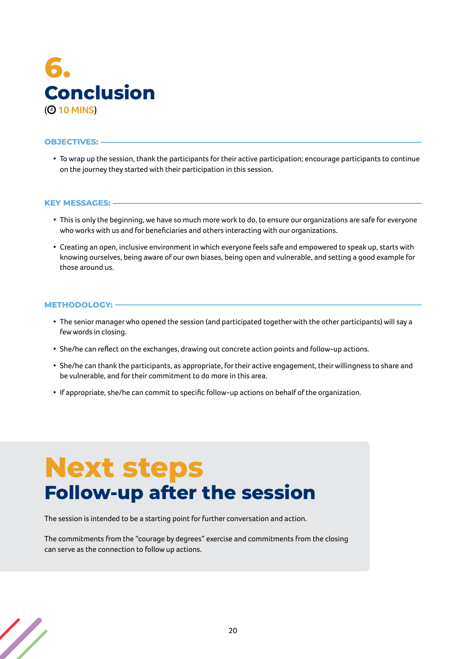<span id="page-19-0"></span>![](_page_19_Picture_0.jpeg)

#### **OBJECTIVES:**

• To wrap up the session, thank the participants for their active participation; encourage participants to continue on the journey they started with their participation in this session.

#### **KEY MESSAGES:**

- This is only the beginning, we have so much more work to do, to ensure our organizations are safe for everyone who works with us and for beneficiaries and others interacting with our organizations.
- Creating an open, inclusive environment in which everyone feels safe and empowered to speak up, starts with knowing ourselves, being aware of our own biases, being open and vulnerable, and setting a good example for those around us.

#### **METHODOLOGY:**

- The senior manager who opened the session (and participated together with the other participants) will say a few words in closing.
- She/he can reflect on the exchanges, drawing out concrete action points and follow-up actions.
- She/he can thank the participants, as appropriate, for their active engagement, their willingness to share and be vulnerable, and for their commitment to do more in this area.
- If appropriate, she/he can commit to specific follow-up actions on behalf of the organization.

# **Next steps Follow-up after the session**

The session is intended to be a starting point for further conversation and action.

The commitments from the "courage by degrees" exercise and commitments from the closing can serve as the connection to follow up actions.

![](_page_19_Picture_14.jpeg)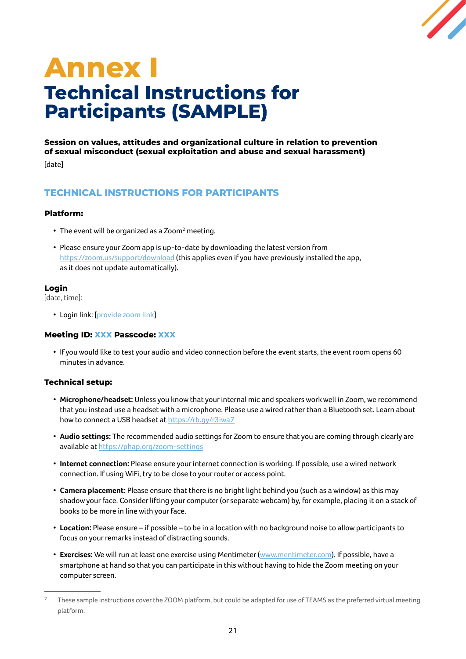![](_page_20_Picture_0.jpeg)

# <span id="page-20-0"></span>**Annex I Technical Instructions for Participants (SAMPLE)**

**Session on values, attitudes and organizational culture in relation to prevention of sexual misconduct (sexual exploitation and abuse and sexual harassment)** 

[date]

#### **TECHNICAL INSTRUCTIONS FOR PARTICIPANTS**

#### **Platform:**

- The event will be organized as a Zoom<sup>2</sup> meeting.
- Please ensure your Zoom app is up-to-date by downloading the latest version from <https://zoom.us/support/download> (this applies even if you have previously installed the app, as it does not update automatically).

#### **Login**

[date, time]:

• Login link: [provide zoom link]

#### **Meeting ID: XXX Passcode: XXX**

• If you would like to test your audio and video connection before the event starts, the event room opens 60 minutes in advance.

#### **Technical setup:**

- **Microphone/headset:** Unless you know that your internal mic and speakers work well in Zoom, we recommend that you instead use a headset with a microphone. Please use a wired rather than a Bluetooth set. Learn about how to connect a USB headset at <https://rb.gy/r3iwa7>
- **Audio settings:** The recommended audio settings for Zoom to ensure that you are coming through clearly are available at<https://phap.org/zoom-settings>
- **Internet connection:** Please ensure your internet connection is working. If possible, use a wired network connection. If using WiFi, try to be close to your router or access point.
- **Camera placement:** Please ensure that there is no bright light behind you (such as a window) as this may shadow your face. Consider lifting your computer (or separate webcam) by, for example, placing it on a stack of books to be more in line with your face.
- **Location:** Please ensure if possible to be in a location with no background noise to allow participants to focus on your remarks instead of distracting sounds.
- **Exercises:** We will run at least one exercise using Mentimeter [\(www.mentimeter.com\)](http://www.mentimeter.com). If possible, have a smartphone at hand so that you can participate in this without having to hide the Zoom meeting on your computer screen.

<sup>&</sup>lt;sup>2</sup> These sample instructions cover the ZOOM platform, but could be adapted for use of TEAMS as the preferred virtual meeting platform.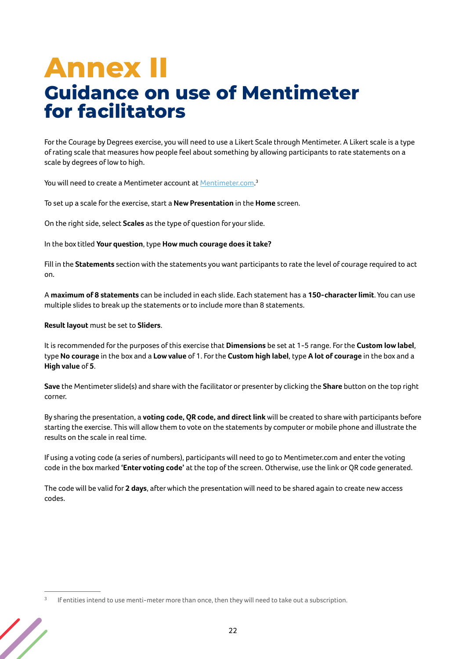## <span id="page-21-0"></span>**Annex II Guidance on use of Mentimeter for facilitators**

For the Courage by Degrees exercise, you will need to use a Likert Scale through Mentimeter. A Likert scale is a type of rating scale that measures how people feel about something by allowing participants to rate statements on a scale by degrees of low to high.

You will need to create a Mentimeter account at <u>Mentimeter.com</u>.<sup>3</sup>

To set up a scale for the exercise, start a **New Presentation** in the **Home** screen.

On the right side, select **Scales** as the type of question for your slide.

In the box titled **Your question**, type **How much courage does it take?**

Fill in the **Statements** section with the statements you want participants to rate the level of courage required to act on.

A **maximum of 8 statements** can be included in each slide. Each statement has a **150-character limit**. You can use multiple slides to break up the statements or to include more than 8 statements.

**Result layout** must be set to **Sliders**.

It is recommended for the purposes of this exercise that **Dimensions** be set at 1-5 range. For the **Custom low label**, type **No courage** in the box and a **Low value** of 1. For the **Custom high label**, type **A lot of courage** in the box and a **High value** of **5**.

**Save** the Mentimeter slide(s) and share with the facilitator or presenter by clicking the **Share** button on the top right corner.

By sharing the presentation, a **voting code, QR code, and direct link** will be created to share with participants before starting the exercise. This will allow them to vote on the statements by computer or mobile phone and illustrate the results on the scale in real time.

If using a voting code (a series of numbers), participants will need to go to Mentimeter.com and enter the voting code in the box marked **'Enter voting code'** at the top of the screen. Otherwise, use the link or QR code generated.

The code will be valid for **2 days**, after which the presentation will need to be shared again to create new access codes.

 $3$  If entities intend to use menti-meter more than once, then they will need to take out a subscription.